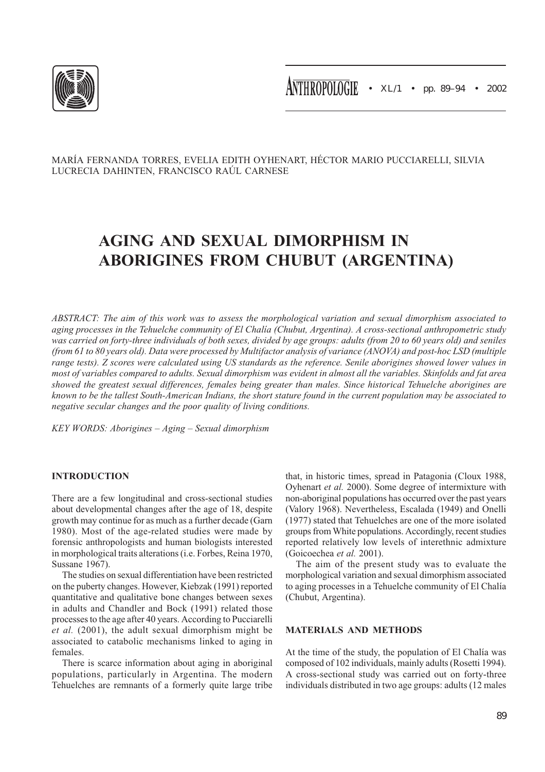

## MARÍA FERNANDA TORRES, EVELIA EDITH OYHENART, HÉCTOR MARIO PUCCIARELLI, SILVIA LUCRECIA DAHINTEN, FRANCISCO RAÚL CARNESE

# AGING AND SEXUAL DIMORPHISM IN ABORIGINES FROM CHUBUT (ARGENTINA)

ABSTRACT: The aim of this work was to assess the morphological variation and sexual dimorphism associated to aging processes in the Tehuelche community of El Chalía (Chubut, Argentina). A cross-sectional anthropometric study was carried on forty-three individuals of both sexes, divided by age groups: adults (from 20 to 60 years old) and seniles (from 61 to 80 years old). Data were processed by Multifactor analysis of variance (ANOVA) and post-hoc LSD (multiple range tests). Z scores were calculated using US standards as the reference. Senile aborigines showed lower values in most of variables compared to adults. Sexual dimorphism was evident in almost all the variables. Skinfolds and fat area showed the greatest sexual differences, females being greater than males. Since historical Tehuelche aborigines are known to be the tallest South-American Indians, the short stature found in the current population may be associated to negative secular changes and the poor quality of living conditions.

KEY WORDS: Aborigines – Aging – Sexual dimorphism

## INTRODUCTION

There are a few longitudinal and cross-sectional studies about developmental changes after the age of 18, despite growth may continue for as much as a further decade (Garn 1980). Most of the age-related studies were made by forensic anthropologists and human biologists interested in morphological traits alterations (i.e. Forbes, Reina 1970, Sussane 1967).

The studies on sexual differentiation have been restricted on the puberty changes. However, Kiebzak (1991) reported quantitative and qualitative bone changes between sexes in adults and Chandler and Bock (1991) related those processes to the age after 40 years. According to Pucciarelli et al. (2001), the adult sexual dimorphism might be associated to catabolic mechanisms linked to aging in females.

There is scarce information about aging in aboriginal populations, particularly in Argentina. The modern Tehuelches are remnants of a formerly quite large tribe that, in historic times, spread in Patagonia (Cloux 1988, Oyhenart et al. 2000). Some degree of intermixture with non-aboriginal populations has occurred over the past years (Valory 1968). Nevertheless, Escalada (1949) and Onelli (1977) stated that Tehuelches are one of the more isolated groups from White populations. Accordingly, recent studies reported relatively low levels of interethnic admixture (Goicoechea et al. 2001).

The aim of the present study was to evaluate the morphological variation and sexual dimorphism associated to aging processes in a Tehuelche community of El Chalía (Chubut, Argentina).

## MATERIALS AND METHODS

At the time of the study, the population of El Chalía was composed of 102 individuals, mainly adults (Rosetti 1994). A cross-sectional study was carried out on forty-three individuals distributed in two age groups: adults (12 males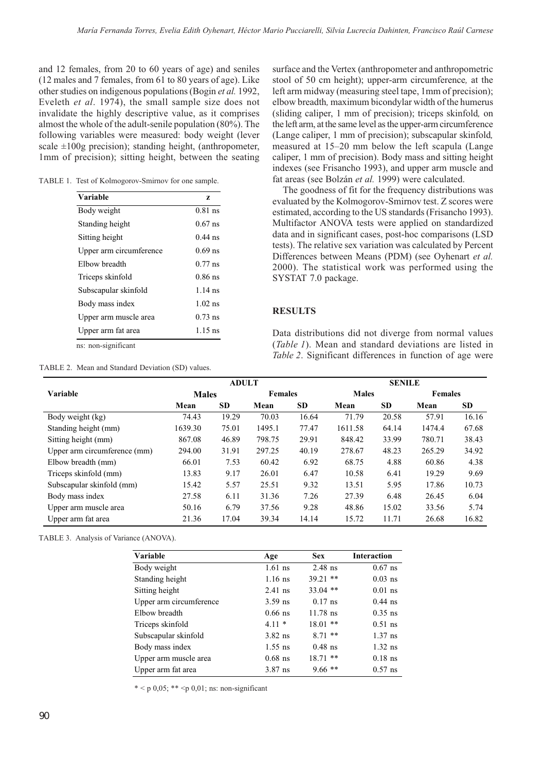and 12 females, from 20 to 60 years of age) and seniles (12 males and 7 females, from 61 to 80 years of age). Like other studies on indigenous populations (Bogin et al. 1992, Eveleth et al. 1974), the small sample size does not invalidate the highly descriptive value, as it comprises almost the whole of the adult-senile population (80%). The following variables were measured: body weight (lever scale  $\pm 100$ g precision); standing height, (anthropometer, 1mm of precision); sitting height, between the seating

|  | TABLE 1. Test of Kolmogorov-Smirnov for one sample. |  |
|--|-----------------------------------------------------|--|
|--|-----------------------------------------------------|--|

| <b>Variable</b>         | z         |
|-------------------------|-----------|
| Body weight             | $0.81$ ns |
| Standing height         | $0.67$ ns |
| Sitting height          | $0.44$ ns |
| Upper arm circumference | $0.69$ ns |
| Elbow breadth           | $0.77$ ns |
| Triceps skinfold        | $0.86$ ns |
| Subscapular skinfold    | $1.14$ ns |
| Body mass index         | $1.02$ ns |
| Upper arm muscle area   | $0.73$ ns |
| Upper arm fat area      | $1.15$ ns |
| ns: non-significant     |           |

TABLE 2. Mean and Standard Deviation (SD) values.

surface and the Vertex (anthropometer and anthropometric stool of 50 cm height); upper-arm circumference, at the left arm midway (measuring steel tape, 1mm of precision); elbow breadth, maximum bicondylar width of the humerus (sliding caliper, 1 mm of precision); triceps skinfold, on the left arm, at the same level as the upper-arm circumference (Lange caliper, 1 mm of precision); subscapular skinfold, measured at 15–20 mm below the left scapula (Lange caliper, 1 mm of precision). Body mass and sitting height indexes (see Frisancho 1993), and upper arm muscle and fat areas (see Bolzán et al. 1999) were calculated.

The goodness of fit for the frequency distributions was evaluated by the Kolmogorov-Smirnov test. Z scores were estimated, according to the US standards (Frisancho 1993). Multifactor ANOVA tests were applied on standardized data and in significant cases, post-hoc comparisons (LSD tests). The relative sex variation was calculated by Percent Differences between Means (PDM) (see Oyhenart et al. 2000). The statistical work was performed using the SYSTAT 7.0 package.

#### **RESULTS**

Data distributions did not diverge from normal values (Table 1). Mean and standard deviations are listed in Table 2. Significant differences in function of age were

|                               | <b>ADULT</b> |           |                | <b>SENILE</b> |              |           |                |       |
|-------------------------------|--------------|-----------|----------------|---------------|--------------|-----------|----------------|-------|
| Variable                      | <b>Males</b> |           | <b>Females</b> |               | <b>Males</b> |           | <b>Females</b> |       |
|                               | Mean         | <b>SD</b> | Mean           | <b>SD</b>     | Mean         | <b>SD</b> | Mean           | SD.   |
| $\overline{Body}$ weight (kg) | 74.43        | 19.29     | 70.03          | 16.64         | 71.79        | 20.58     | 57.91          | 16.16 |
| Standing height (mm)          | 1639.30      | 75.01     | 1495.1         | 77.47         | 1611.58      | 64.14     | 1474.4         | 67.68 |
| Sitting height (mm)           | 867.08       | 46.89     | 798.75         | 29.91         | 848.42       | 33.99     | 780.71         | 38.43 |
| Upper arm circumference (mm)  | 294.00       | 31.91     | 297.25         | 40.19         | 278.67       | 48.23     | 265.29         | 34.92 |
| Elbow breadth (mm)            | 66.01        | 7.53      | 60.42          | 6.92          | 68.75        | 4.88      | 60.86          | 4.38  |
| Triceps skinfold (mm)         | 13.83        | 9.17      | 26.01          | 6.47          | 10.58        | 6.41      | 19.29          | 9.69  |
| Subscapular skinfold (mm)     | 15.42        | 5.57      | 25.51          | 9.32          | 13.51        | 5.95      | 17.86          | 10.73 |
| Body mass index               | 27.58        | 6.11      | 31.36          | 7.26          | 27.39        | 6.48      | 26.45          | 6.04  |
| Upper arm muscle area         | 50.16        | 6.79      | 37.56          | 9.28          | 48.86        | 15.02     | 33.56          | 5.74  |
| Upper arm fat area            | 21.36        | 17.04     | 39.34          | 14.14         | 15.72        | 11.71     | 26.68          | 16.82 |

TABLE 3. Analysis of Variance (ANOVA).

| Variable                | Age       | <b>Sex</b> | <b>Interaction</b> |
|-------------------------|-----------|------------|--------------------|
| Body weight             | $1.61$ ns | $2.48$ ns  | $0.67$ ns          |
| Standing height         | $1.16$ ns | $39.21$ ** | $0.03$ ns          |
| Sitting height          | $2.41$ ns | $33.04$ ** | $0.01$ ns          |
| Upper arm circumference | $3.59$ ns | $0.17$ ns  | $0.44$ ns          |
| Elbow breadth           | $0.66$ ns | $11.78$ ns | $0.35$ ns          |
| Triceps skinfold        | $4.11*$   | $18.01$ ** | $0.51$ ns          |
| Subscapular skinfold    | $3.82$ ns | $8.71$ **  | $1.37$ ns          |
| Body mass index         | $1.55$ ns | $0.48$ ns  | $1.32$ ns          |
| Upper arm muscle area   | $0.68$ ns | $18.71$ ** | $0.18$ ns          |
| Upper arm fat area      | $3.87$ ns | $9.66$ **  | $0.57$ ns          |

\* < p 0,05; \* \* < p 0,01; ns: non-significant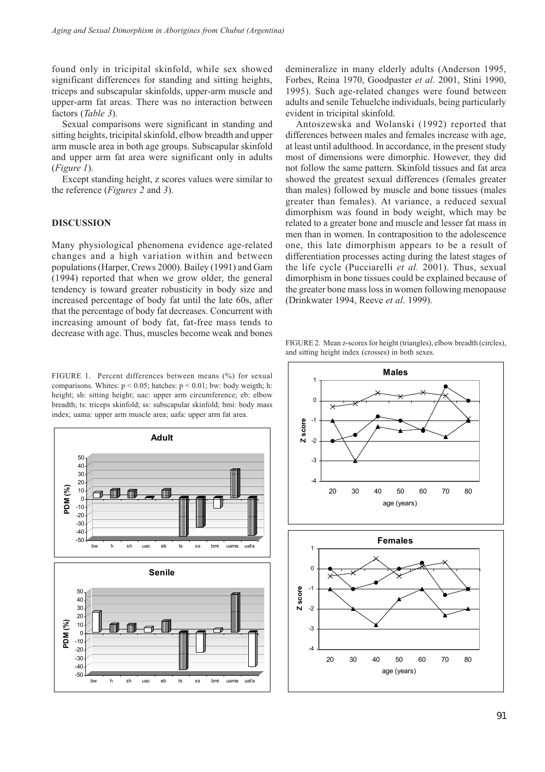found only in tricipital skinfold, while sex showed significant differences for standing and sitting heights, triceps and subscapular skinfolds, upper-arm muscle and upper-arm fat areas. There was no interaction between factors (Table 3).

Sexual comparisons were significant in standing and sitting heights, tricipital skinfold, elbow breadth and upper arm muscle area in both age groups. Subscapular skinfold and upper arm fat area were significant only in adults (Figure 1).

Except standing height, z scores values were similar to the reference (Figures 2 and 3).

#### DISCUSSION

Many physiological phenomena evidence age-related changes and a high variation within and between populations (Harper, Crews 2000). Bailey (1991) and Garn (1994) reported that when we grow older, the general tendency is toward greater robusticity in body size and increased percentage of body fat until the late 60s, after that the percentage of body fat decreases. Concurrent with increasing amount of body fat, fat-free mass tends to decrease with age. Thus, muscles become weak and bones

FIGURE 1. Percent differences between means (%) for sexual comparisons. Whites:  $p < 0.05$ ; hatches:  $p < 0.01$ ; bw: body weigth; h: height; sh: sitting height; uac: upper arm circumference; eb: elbow breadth; ts: triceps skinfold; ss: subscapular skinfold; bmi: body mass index; uama: upper arm muscle area; uafa: upper arm fat area.



demineralize in many elderly adults (Anderson 1995, Forbes, Reina 1970, Goodpaster et al. 2001, Stini 1990, 1995). Such age-related changes were found between adults and senile Tehuelche individuals, being particularly evident in tricipital skinfold.

Antoszewska and Wolanski (1992) reported that differences between males and females increase with age, at least until adulthood. In accordance, in the present study most of dimensions were dimorphic. However, they did not follow the same pattern. Skinfold tissues and fat area showed the greatest sexual differences (females greater than males) followed by muscle and bone tissues (males greater than females). At variance, a reduced sexual dimorphism was found in body weight, which may be related to a greater bone and muscle and lesser fat mass in men than in women. In contraposition to the adolescence one, this late dimorphism appears to be a result of differentiation processes acting during the latest stages of the life cycle (Pucciarelli et al. 2001). Thus, sexual dimorphism in bone tissues could be explained because of the greater bone mass loss in women following menopause (Drinkwater 1994, Reeve et al. 1999).

FIGURE 2. Mean z-scores for height (triangles), elbow breadth (circles), and sitting height index (crosses) in both sexes.

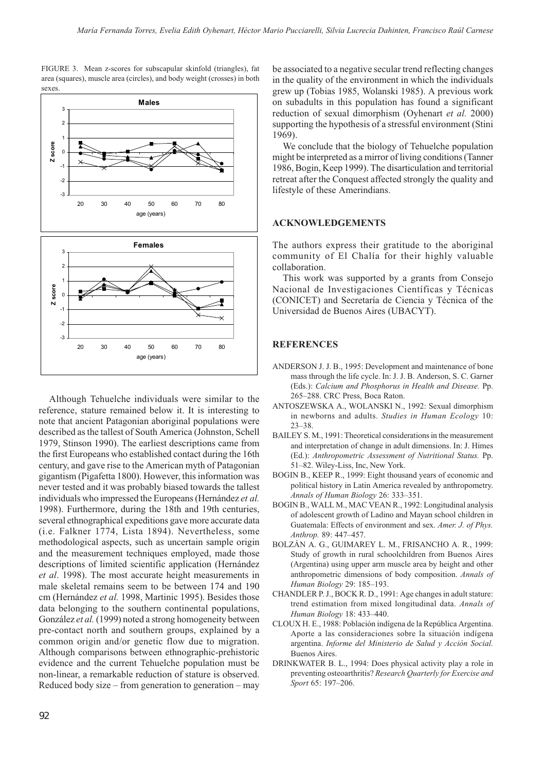FIGURE 3. Mean z-scores for subscapular skinfold (triangles), fat area (squares), muscle area (circles), and body weight (crosses) in both sexes.



Although Tehuelche individuals were similar to the reference, stature remained below it. It is interesting to note that ancient Patagonian aboriginal populations were described as the tallest of South America (Johnston, Schell 1979, Stinson 1990). The earliest descriptions came from the first Europeans who established contact during the 16th century, and gave rise to the American myth of Patagonian gigantism (Pigafetta 1800). However, this information was never tested and it was probably biased towards the tallest individuals who impressed the Europeans (Hernández et al. 1998). Furthermore, during the 18th and 19th centuries, several ethnographical expeditions gave more accurate data (i.e. Falkner 1774, Lista 1894). Nevertheless, some methodological aspects, such as uncertain sample origin and the measurement techniques employed, made those descriptions of limited scientific application (Hernández et al. 1998). The most accurate height measurements in male skeletal remains seem to be between 174 and 190 cm (Hernández et al. 1998, Martinic 1995). Besides those data belonging to the southern continental populations, González et al. (1999) noted a strong homogeneity between pre-contact north and southern groups, explained by a common origin and/or genetic flow due to migration. Although comparisons between ethnographic-prehistoric evidence and the current Tehuelche population must be non-linear, a remarkable reduction of stature is observed. Reduced body size – from generation to generation – may

be associated to a negative secular trend reflecting changes in the quality of the environment in which the individuals grew up (Tobias 1985, Wolanski 1985). A previous work on subadults in this population has found a significant reduction of sexual dimorphism (Oyhenart et al. 2000) supporting the hypothesis of a stressful environment (Stini 1969).

We conclude that the biology of Tehuelche population might be interpreted as a mirror of living conditions (Tanner 1986, Bogin, Keep 1999). The disarticulation and territorial retreat after the Conquest affected strongly the quality and lifestyle of these Amerindians.

#### ACKNOWLEDGEMENTS

The authors express their gratitude to the aboriginal community of El Chalía for their highly valuable collaboration.

This work was supported by a grants from Consejo Nacional de Investigaciones Científicas y Técnicas (CONICET) and Secretaría de Ciencia y Técnica of the Universidad de Buenos Aires (UBACYT).

## **REFERENCES**

- ANDERSON J. J. B., 1995: Development and maintenance of bone mass through the life cycle. In: J. J. B. Anderson, S. C. Garner (Eds.): Calcium and Phosphorus in Health and Disease. Pp. 265–288. CRC Press, Boca Raton.
- ANTOSZEWSKA A., WOLANSKI N., 1992: Sexual dimorphism in newborns and adults. Studies in Human Ecology 10: 23–38.
- BAILEY S. M., 1991: Theoretical considerations in the measurement and interpretation of change in adult dimensions. In: J. Himes (Ed.): Anthropometric Assessment of Nutritional Status. Pp. 51–82. Wiley-Liss, Inc, New York.
- BOGIN B., KEEP R., 1999: Eight thousand years of economic and political history in Latin America revealed by anthropometry. Annals of Human Biology 26: 333–351.
- BOGIN B., WALL M., MAC VEAN R., 1992: Longitudinal analysis of adolescent growth of Ladino and Mayan school children in Guatemala: Effects of environment and sex. Amer. J. of Phys. Anthrop. 89: 447–457.
- BOLZÁN A. G., GUIMAREY L. M., FRISANCHO A. R., 1999: Study of growth in rural schoolchildren from Buenos Aires (Argentina) using upper arm muscle area by height and other anthropometric dimensions of body composition. Annals of Human Biology 29: 185–193.
- CHANDLER P. J., BOCK R. D., 1991: Age changes in adult stature: trend estimation from mixed longitudinal data. Annals of Human Biology 18: 433–440.
- CLOUX H. E., 1988: Población indígena de la República Argentina. Aporte a las consideraciones sobre la situación indígena argentina. Informe del Ministerio de Salud y Acción Social. Buenos Aires.
- DRINKWATER B. L., 1994: Does physical activity play a role in preventing osteoarthritis? Research Quarterly for Exercise and Sport 65: 197–206.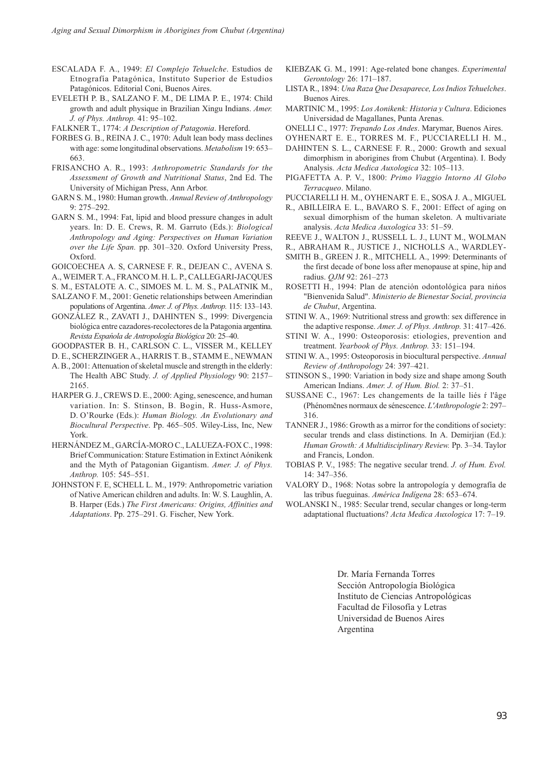- ESCALADA F. A., 1949: El Complejo Tehuelche. Estudios de Etnografía Patagónica, Instituto Superior de Estudios Patagónicos. Editorial Coni, Buenos Aires.
- EVELETH P. B., SALZANO F. M., DE LIMA P. E., 1974: Child growth and adult physique in Brazilian Xingu Indians. Amer. J. of Phys. Anthrop. 41: 95–102.

FALKNER T., 1774: A Description of Patagonia. Hereford.

- FORBES G. B., REINA J. C., 1970: Adult lean body mass declines with age: some longitudinal observations. Metabolism 19: 653– 663.
- FRISANCHO A. R., 1993: Anthropometric Standards for the Assessment of Growth and Nutritional Status, 2nd Ed. The University of Michigan Press, Ann Arbor.
- GARN S. M., 1980: Human growth. Annual Review of Anthropology 9: 275–292.
- GARN S. M., 1994: Fat, lipid and blood pressure changes in adult years. In: D. E. Crews, R. M. Garruto (Eds.): Biological Anthropology and Aging: Perspectives on Human Variation over the Life Span. pp. 301–320. Oxford University Press, Oxford.
- GOICOECHEA A. S, CARNESE F. R., DEJEAN C., AVENA S.
- A., WEIMER T. A., FRANCO M. H. L. P., CALLEGARI-JACQUES
- S. M., ESTALOTE A. C., SIMOES M. L. M. S., PALATNIK M.,
- SALZANO F. M., 2001: Genetic relationships between Amerindian populations of Argentina. Amer. J. of Phys. Anthrop. 115: 133–143.
- GONZÁLEZ R., ZAVATI J., DAHINTEN S., 1999: Divergencia biológica entre cazadores-recolectores de la Patagonia argentina. Revista Espańola de Antropología Biológica 20: 25–40.
- GOODPASTER B. H., CARLSON C. L., VISSER M., KELLEY
- D. E., SCHERZINGER A., HARRIS T. B., STAMM E., NEWMAN
- A. B., 2001: Attenuation of skeletal muscle and strength in the elderly: The Health ABC Study. J. of Applied Physiology 90: 2157– 2165.
- HARPER G. J., CREWS D. E., 2000: Aging, senescence, and human variation. In: S. Stinson, B. Bogin, R. Huss-Asmore, D. O'Rourke (Eds.): Human Biology. An Evolutionary and Biocultural Perspective. Pp. 465–505. Wiley-Liss, Inc, New York.
- HERNÁNDEZ M., GARCÍA-MORO C., LALUEZA-FOX C., 1998: Brief Communication: Stature Estimation in Extinct Aónikenk and the Myth of Patagonian Gigantism. Amer. J. of Phys. Anthrop. 105: 545–551.
- JOHNSTON F. E, SCHELL L. M., 1979: Anthropometric variation of Native American children and adults. In: W. S. Laughlin, A. B. Harper (Eds.) The First Americans: Origins, Affinities and Adaptations. Pp. 275–291. G. Fischer, New York.
- KIEBZAK G. M., 1991: Age-related bone changes. Experimental Gerontology 26: 171–187.
- LISTA R., 1894: Una Raza Que Desaparece, Los Indios Tehuelches. Buenos Aires.
- MARTINIC M., 1995: Los Aonikenk: Historia y Cultura. Ediciones Universidad de Magallanes, Punta Arenas.
- ONELLI C., 1977: Trepando Los Andes. Marymar, Buenos Aires.
- OYHENART E. E., TORRES M. F., PUCCIARELLI H. M.,
- DAHINTEN S. L., CARNESE F. R., 2000: Growth and sexual dimorphism in aborigines from Chubut (Argentina). I. Body Analysis. Acta Medica Auxologica 32: 105–113.
- PIGAFETTA A. P. V., 1800: Primo Viaggio Intorno Al Globo Terracqueo. Milano.
- PUCCIARELLI H. M., OYHENART E. E., SOSA J. A., MIGUEL
- R., ABILLEIRA E. L., BAVARO S. F., 2001: Effect of aging on sexual dimorphism of the human skeleton. A multivariate analysis. Acta Medica Auxologica 33: 51–59.
- REEVE J., WALTON J., RUSSELL L. J., LUNT M., WOLMAN
- R., ABRAHAM R., JUSTICE J., NICHOLLS A., WARDLEY-
- SMITH B., GREEN J. R., MITCHELL A., 1999: Determinants of the first decade of bone loss after menopause at spine, hip and radius. QJM 92: 261–273
- ROSETTI H., 1994: Plan de atención odontológica para nińos "Bienvenida Salud". Ministerio de Bienestar Social, provincia de Chubut, Argentina.
- STINI W. A., 1969: Nutritional stress and growth: sex difference in the adaptive response. Amer. J. of Phys. Anthrop. 31: 417–426.
- STINI W. A., 1990: Osteoporosis: etiologies, prevention and treatment. Yearbook of Phys. Anthrop. 33: 151–194.
- STINI W. A., 1995: Osteoporosis in biocultural perspective. Annual Review of Anthropology 24: 397–421.
- STINSON S., 1990: Variation in body size and shape among South American Indians. Amer. J. of Hum. Biol. 2: 37–51.
- SUSSANE C., 1967: Les changements de la taille liés ŕ l'âge (Phénomčnes normaux de sénescence. L'Anthropologie 2: 297– 316.
- TANNER J., 1986: Growth as a mirror for the conditions of society: secular trends and class distinctions. In A. Demirjian (Ed.): Human Growth: A Multidisciplinary Review. Pp. 3–34. Taylor and Francis, London.
- TOBIAS P. V., 1985: The negative secular trend. J. of Hum. Evol. 14: 347–356.
- VALORY D., 1968: Notas sobre la antropología y demografía de las tribus fueguinas. América Indígena 28: 653–674.
- WOLANSKI N., 1985: Secular trend, secular changes or long-term adaptational fluctuations? Acta Medica Auxologica 17: 7–19.

Dr. María Fernanda Torres Sección Antropología Biológica Instituto de Ciencias Antropológicas Facultad de Filosofía y Letras Universidad de Buenos Aires Argentina